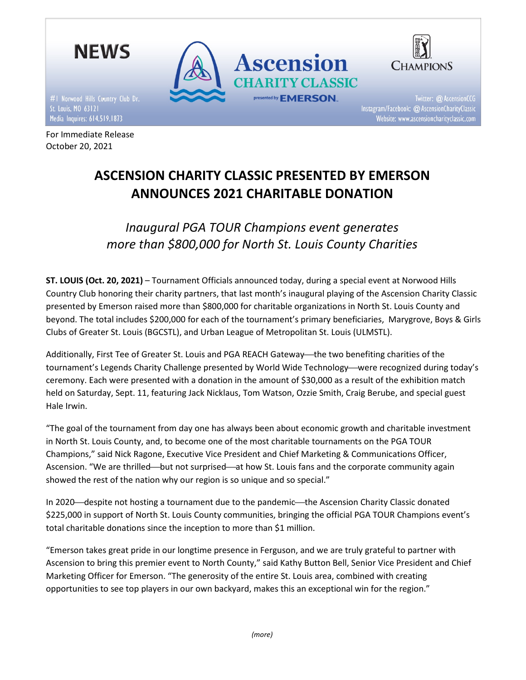

For Immediate Release October 20, 2021



Twitter: @ AscensionCCG Instagram/Facebook: @ AscensionCharityClassic Website: www.ascensioncharityclassic.com

# ASCENSION CHARITY CLASSIC PRESENTED BY EMERSON ANNOUNCES 2021 CHARITABLE DONATION

Inaugural PGA TOUR Champions event generates more than \$800,000 for North St. Louis County Charities

ST. LOUIS (Oct. 20, 2021) – Tournament Officials announced today, during a special event at Norwood Hills Country Club honoring their charity partners, that last month's inaugural playing of the Ascension Charity Classic presented by Emerson raised more than \$800,000 for charitable organizations in North St. Louis County and beyond. The total includes \$200,000 for each of the tournament's primary beneficiaries, Marygrove, Boys & Girls Clubs of Greater St. Louis (BGCSTL), and Urban League of Metropolitan St. Louis (ULMSTL).

Additionally, First Tee of Greater St. Louis and PGA REACH Gateway—the two benefiting charities of the tournament's Legends Charity Challenge presented by World Wide Technology—were recognized during today's ceremony. Each were presented with a donation in the amount of \$30,000 as a result of the exhibition match held on Saturday, Sept. 11, featuring Jack Nicklaus, Tom Watson, Ozzie Smith, Craig Berube, and special guest Hale Irwin.

"The goal of the tournament from day one has always been about economic growth and charitable investment in North St. Louis County, and, to become one of the most charitable tournaments on the PGA TOUR Champions," said Nick Ragone, Executive Vice President and Chief Marketing & Communications Officer, Ascension. "We are thrilled—but not surprised—at how St. Louis fans and the corporate community again showed the rest of the nation why our region is so unique and so special."

In 2020—despite not hosting a tournament due to the pandemic—the Ascension Charity Classic donated \$225,000 in support of North St. Louis County communities, bringing the official PGA TOUR Champions event's total charitable donations since the inception to more than \$1 million.

"Emerson takes great pride in our longtime presence in Ferguson, and we are truly grateful to partner with Ascension to bring this premier event to North County," said Kathy Button Bell, Senior Vice President and Chief Marketing Officer for Emerson. "The generosity of the entire St. Louis area, combined with creating opportunities to see top players in our own backyard, makes this an exceptional win for the region."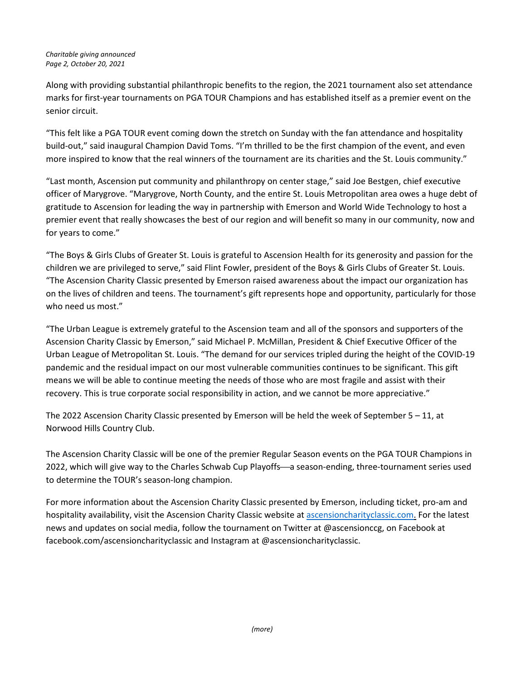Along with providing substantial philanthropic benefits to the region, the 2021 tournament also set attendance marks for first-year tournaments on PGA TOUR Champions and has established itself as a premier event on the senior circuit.

"This felt like a PGA TOUR event coming down the stretch on Sunday with the fan attendance and hospitality build-out," said inaugural Champion David Toms. "I'm thrilled to be the first champion of the event, and even more inspired to know that the real winners of the tournament are its charities and the St. Louis community."

"Last month, Ascension put community and philanthropy on center stage," said Joe Bestgen, chief executive officer of Marygrove. "Marygrove, North County, and the entire St. Louis Metropolitan area owes a huge debt of gratitude to Ascension for leading the way in partnership with Emerson and World Wide Technology to host a premier event that really showcases the best of our region and will benefit so many in our community, now and for years to come."

"The Boys & Girls Clubs of Greater St. Louis is grateful to Ascension Health for its generosity and passion for the children we are privileged to serve," said Flint Fowler, president of the Boys & Girls Clubs of Greater St. Louis. "The Ascension Charity Classic presented by Emerson raised awareness about the impact our organization has on the lives of children and teens. The tournament's gift represents hope and opportunity, particularly for those who need us most."

"The Urban League is extremely grateful to the Ascension team and all of the sponsors and supporters of the Ascension Charity Classic by Emerson," said Michael P. McMillan, President & Chief Executive Officer of the Urban League of Metropolitan St. Louis. "The demand for our services tripled during the height of the COVID-19 pandemic and the residual impact on our most vulnerable communities continues to be significant. This gift means we will be able to continue meeting the needs of those who are most fragile and assist with their recovery. This is true corporate social responsibility in action, and we cannot be more appreciative."

The 2022 Ascension Charity Classic presented by Emerson will be held the week of September 5 – 11, at Norwood Hills Country Club.

The Ascension Charity Classic will be one of the premier Regular Season events on the PGA TOUR Champions in 2022, which will give way to the Charles Schwab Cup Playoffs-a season-ending, three-tournament series used to determine the TOUR's season-long champion.

For more information about the Ascension Charity Classic presented by Emerson, including ticket, pro-am and hospitality availability, visit the Ascension Charity Classic website at ascensioncharityclassic.com. For the latest news and updates on social media, follow the tournament on Twitter at @ascensionccg, on Facebook at facebook.com/ascensioncharityclassic and Instagram at @ascensioncharityclassic.